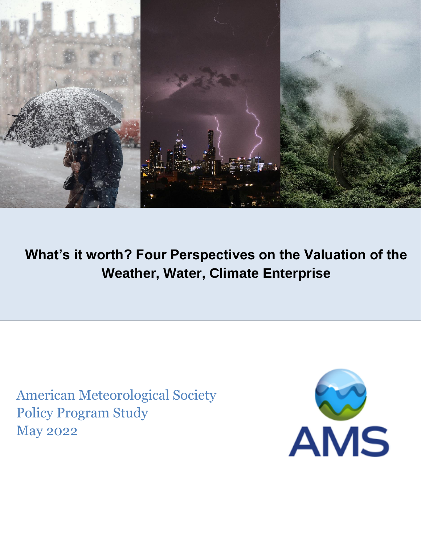

**What's it worth? Four Perspectives on the Valuation of the Weather, Water, Climate Enterprise**

American Meteorological Society Policy Program Study May 2022

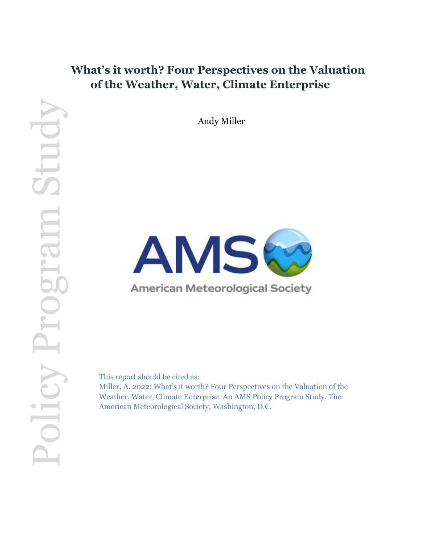## **What's it worth? Four Perspectives on the Valuation of the Weather, Water, Climate Enterprise**

Andy Miller



This report should be cited as:

Miller, A. 2022: What's it worth? Four Perspectives on the Valuation of the Weather, Water, Climate Enterprise. An AMS Policy Program Study. The American Meteorological Society, Washington, D.C.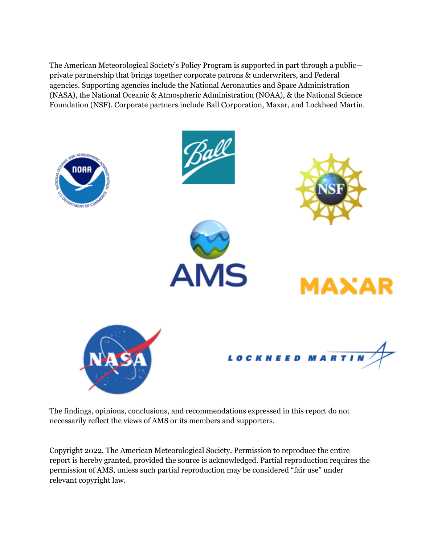The American Meteorological Society's Policy Program is supported in part through a public private partnership that brings together corporate patrons & underwriters, and Federal agencies. Supporting agencies include the National Aeronautics and Space Administration (NASA), the National Oceanic & Atmospheric Administration (NOAA), & the National Science Foundation (NSF). Corporate partners include Ball Corporation, Maxar, and Lockheed Martin.



The findings, opinions, conclusions, and recommendations expressed in this report do not necessarily reflect the views of AMS or its members and supporters.

Copyright 2022, The American Meteorological Society. Permission to reproduce the entire report is hereby granted, provided the source is acknowledged. Partial reproduction requires the permission of AMS, unless such partial reproduction may be considered "fair use" under relevant copyright law.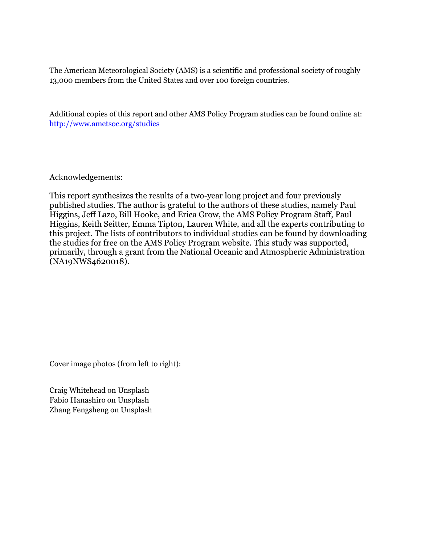The American Meteorological Society (AMS) is a scientific and professional society of roughly 13,000 members from the United States and over 100 foreign countries.

Additional copies of this report and other AMS Policy Program studies can be found online at: <http://www.ametsoc.org/studies>

Acknowledgements:

This report synthesizes the results of a two-year long project and four previously published studies. The author is grateful to the authors of these studies, namely Paul Higgins, Jeff Lazo, Bill Hooke, and Erica Grow, the AMS Policy Program Staff, Paul Higgins, Keith Seitter, Emma Tipton, Lauren White, and all the experts contributing to this project. The lists of contributors to individual studies can be found by downloading the studies for free on the AMS Policy Program website. This study was supported, primarily, through a grant from the National Oceanic and Atmospheric Administration (NA19NWS4620018).

Cover image photos (from left to right):

Craig Whitehead on Unsplash Fabio Hanashiro on Unsplash Zhang Fengsheng on Unsplash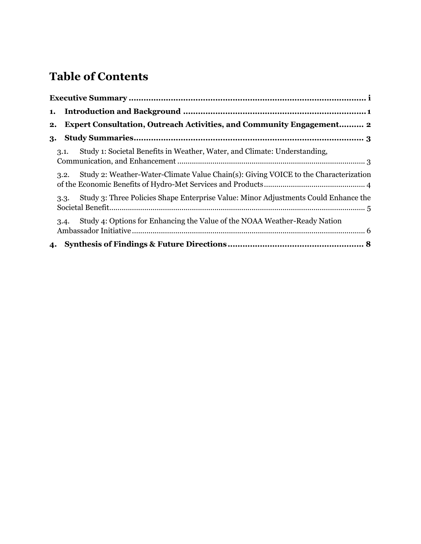# **Table of Contents**

| 1. |                                                                                             |
|----|---------------------------------------------------------------------------------------------|
| 2. | <b>Expert Consultation, Outreach Activities, and Community Engagement 2</b>                 |
| 3. |                                                                                             |
|    | Study 1: Societal Benefits in Weather, Water, and Climate: Understanding,<br>3.1.           |
|    | Study 2: Weather-Water-Climate Value Chain(s): Giving VOICE to the Characterization<br>3.2. |
|    | Study 3: Three Policies Shape Enterprise Value: Minor Adjustments Could Enhance the<br>3.3. |
|    | Study 4: Options for Enhancing the Value of the NOAA Weather-Ready Nation<br>3.4.           |
| 4. |                                                                                             |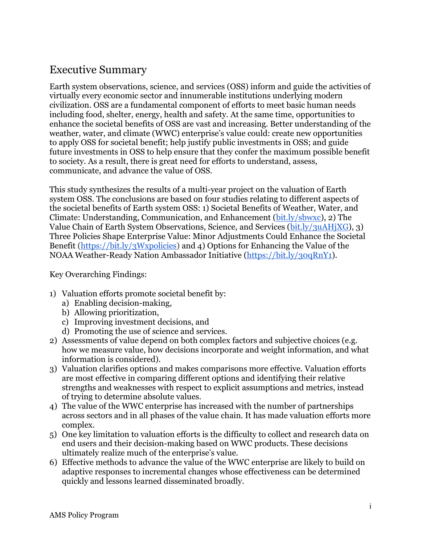### <span id="page-5-0"></span>Executive Summary

Earth system observations, science, and services (OSS) inform and guide the activities of virtually every economic sector and innumerable institutions underlying modern civilization. OSS are a fundamental component of efforts to meet basic human needs including food, shelter, energy, health and safety. At the same time, opportunities to enhance the societal benefits of OSS are vast and increasing. Better understanding of the weather, water, and climate (WWC) enterprise's value could: create new opportunities to apply OSS for societal benefit; help justify public investments in OSS; and guide future investments in OSS to help ensure that they confer the maximum possible benefit to society. As a result, there is great need for efforts to understand, assess, communicate, and advance the value of OSS.

This study synthesizes the results of a multi-year project on the valuation of Earth system OSS. The conclusions are based on four studies relating to different aspects of the societal benefits of Earth system OSS: 1) Societal Benefits of Weather, Water, and Climate: Understanding, Communication, and Enhancement [\(bit.ly/sbwxc\)](https://bit.ly/sbwxc), 2) The Value Chain of Earth System Observations, Science, and Services [\(bit.ly/3uAHjXG\)](http://bit.ly/3uAHjXG), 3) Three Policies Shape Enterprise Value: Minor Adjustments Could Enhance the Societal Benefit [\(https://bit.ly/3Wxpolicies\)](https://bit.ly/3Wxpolicies) and 4) Options for Enhancing the Value of the NOAA Weather-Ready Nation Ambassador Initiative [\(https://bit.ly/30qRnY1\)](https://bit.ly/30qRnY1).

Key Overarching Findings:

- 1) Valuation efforts promote societal benefit by:
	- a) Enabling decision-making,
	- b) Allowing prioritization,
	- c) Improving investment decisions, and
	- d) Promoting the use of science and services.
- 2) Assessments of value depend on both complex factors and subjective choices (e.g. how we measure value, how decisions incorporate and weight information, and what information is considered).
- 3) Valuation clarifies options and makes comparisons more effective. Valuation efforts are most effective in comparing different options and identifying their relative strengths and weaknesses with respect to explicit assumptions and metrics, instead of trying to determine absolute values.
- 4) The value of the WWC enterprise has increased with the number of partnerships across sectors and in all phases of the value chain. It has made valuation efforts more complex.
- 5) One key limitation to valuation efforts is the difficulty to collect and research data on end users and their decision-making based on WWC products. These decisions ultimately realize much of the enterprise's value.
- 6) Effective methods to advance the value of the WWC enterprise are likely to build on adaptive responses to incremental changes whose effectiveness can be determined quickly and lessons learned disseminated broadly.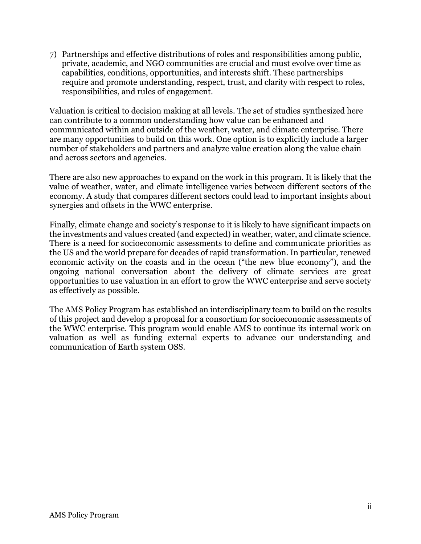7) Partnerships and effective distributions of roles and responsibilities among public, private, academic, and NGO communities are crucial and must evolve over time as capabilities, conditions, opportunities, and interests shift. These partnerships require and promote understanding, respect, trust, and clarity with respect to roles, responsibilities, and rules of engagement.

Valuation is critical to decision making at all levels. The set of studies synthesized here can contribute to a common understanding how value can be enhanced and communicated within and outside of the weather, water, and climate enterprise. There are many opportunities to build on this work. One option is to explicitly include a larger number of stakeholders and partners and analyze value creation along the value chain and across sectors and agencies.

There are also new approaches to expand on the work in this program. It is likely that the value of weather, water, and climate intelligence varies between different sectors of the economy. A study that compares different sectors could lead to important insights about synergies and offsets in the WWC enterprise.

Finally, climate change and society's response to it is likely to have significant impacts on the investments and values created (and expected) in weather, water, and climate science. There is a need for socioeconomic assessments to define and communicate priorities as the US and the world prepare for decades of rapid transformation. In particular, renewed economic activity on the coasts and in the ocean ("the new blue economy"), and the ongoing national conversation about the delivery of climate services are great opportunities to use valuation in an effort to grow the WWC enterprise and serve society as effectively as possible.

The AMS Policy Program has established an interdisciplinary team to build on the results of this project and develop a proposal for a consortium for socioeconomic assessments of the WWC enterprise. This program would enable AMS to continue its internal work on valuation as well as funding external experts to advance our understanding and communication of Earth system OSS.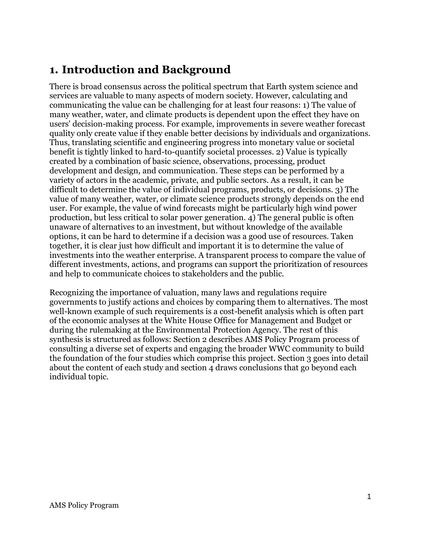### <span id="page-7-0"></span>**1. Introduction and Background**

There is broad consensus across the political spectrum that Earth system science and services are valuable to many aspects of modern society. However, calculating and communicating the value can be challenging for at least four reasons: 1) The value of many weather, water, and climate products is dependent upon the effect they have on users' decision-making process. For example, improvements in severe weather forecast quality only create value if they enable better decisions by individuals and organizations. Thus, translating scientific and engineering progress into monetary value or societal benefit is tightly linked to hard-to-quantify societal processes. 2) Value is typically created by a combination of basic science, observations, processing, product development and design, and communication. These steps can be performed by a variety of actors in the academic, private, and public sectors. As a result, it can be difficult to determine the value of individual programs, products, or decisions. 3) The value of many weather, water, or climate science products strongly depends on the end user. For example, the value of wind forecasts might be particularly high wind power production, but less critical to solar power generation. 4) The general public is often unaware of alternatives to an investment, but without knowledge of the available options, it can be hard to determine if a decision was a good use of resources. Taken together, it is clear just how difficult and important it is to determine the value of investments into the weather enterprise. A transparent process to compare the value of different investments, actions, and programs can support the prioritization of resources and help to communicate choices to stakeholders and the public.

Recognizing the importance of valuation, many laws and regulations require governments to justify actions and choices by comparing them to alternatives. The most well-known example of such requirements is a cost-benefit analysis which is often part of the economic analyses at the White House Office for Management and Budget or during the rulemaking at the Environmental Protection Agency. The rest of this synthesis is structured as follows: Section 2 describes AMS Policy Program process of consulting a diverse set of experts and engaging the broader WWC community to build the foundation of the four studies which comprise this project. Section 3 goes into detail about the content of each study and section 4 draws conclusions that go beyond each individual topic.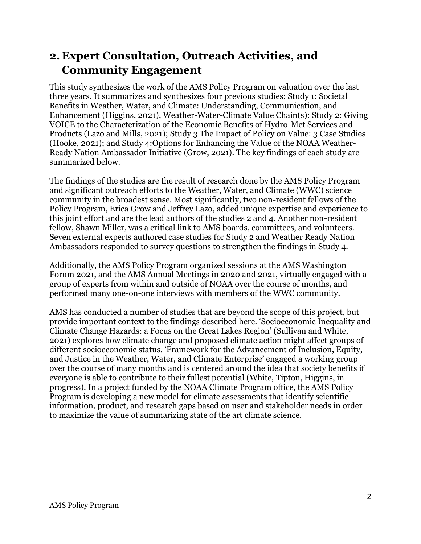### <span id="page-8-0"></span>**2. Expert Consultation, Outreach Activities, and Community Engagement**

This study synthesizes the work of the AMS Policy Program on valuation over the last three years. It summarizes and synthesizes four previous studies: Study 1: Societal Benefits in Weather, Water, and Climate: Understanding, Communication, and Enhancement (Higgins, 2021), Weather-Water-Climate Value Chain(s): Study 2: Giving VOICE to the Characterization of the Economic Benefits of Hydro-Met Services and Products (Lazo and Mills, 2021); Study 3 The Impact of Policy on Value: 3 Case Studies (Hooke, 2021); and Study 4:Options for Enhancing the Value of the NOAA Weather-Ready Nation Ambassador Initiative (Grow, 2021). The key findings of each study are summarized below.

The findings of the studies are the result of research done by the AMS Policy Program and significant outreach efforts to the Weather, Water, and Climate (WWC) science community in the broadest sense. Most significantly, two non-resident fellows of the Policy Program, Erica Grow and Jeffrey Lazo, added unique expertise and experience to this joint effort and are the lead authors of the studies 2 and 4. Another non-resident fellow, Shawn Miller, was a critical link to AMS boards, committees, and volunteers. Seven external experts authored case studies for Study 2 and Weather Ready Nation Ambassadors responded to survey questions to strengthen the findings in Study 4.

Additionally, the AMS Policy Program organized sessions at the AMS Washington Forum 2021, and the AMS Annual Meetings in 2020 and 2021, virtually engaged with a group of experts from within and outside of NOAA over the course of months, and performed many one-on-one interviews with members of the WWC community.

AMS has conducted a number of studies that are beyond the scope of this project, but provide important context to the findings described here. 'Socioeconomic Inequality and Climate Change Hazards: a Focus on the Great Lakes Region' (Sullivan and White, 2021) explores how climate change and proposed climate action might affect groups of different socioeconomic status. 'Framework for the Advancement of Inclusion, Equity, and Justice in the Weather, Water, and Climate Enterprise' engaged a working group over the course of many months and is centered around the idea that society benefits if everyone is able to contribute to their fullest potential (White, Tipton, Higgins, in progress). In a project funded by the NOAA Climate Program office, the AMS Policy Program is developing a new model for climate assessments that identify scientific information, product, and research gaps based on user and stakeholder needs in order to maximize the value of summarizing state of the art climate science.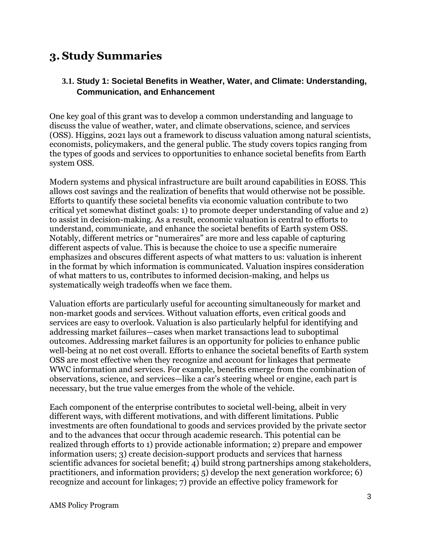## <span id="page-9-0"></span>**3. Study Summaries**

#### <span id="page-9-1"></span>**3.1. Study 1: Societal Benefits in Weather, Water, and Climate: Understanding, Communication, and Enhancement**

One key goal of this grant was to develop a common understanding and language to discuss the value of weather, water, and climate observations, science, and services (OSS). Higgins, 2021 lays out a framework to discuss valuation among natural scientists, economists, policymakers, and the general public. The study covers topics ranging from the types of goods and services to opportunities to enhance societal benefits from Earth system OSS.

Modern systems and physical infrastructure are built around capabilities in EOSS. This allows cost savings and the realization of benefits that would otherwise not be possible. Efforts to quantify these societal benefits via economic valuation contribute to two critical yet somewhat distinct goals: 1) to promote deeper understanding of value and 2) to assist in decision-making. As a result, economic valuation is central to efforts to understand, communicate, and enhance the societal benefits of Earth system OSS. Notably, different metrics or "numeraires" are more and less capable of capturing different aspects of value. This is because the choice to use a specific numeraire emphasizes and obscures different aspects of what matters to us: valuation is inherent in the format by which information is communicated. Valuation inspires consideration of what matters to us, contributes to informed decision-making, and helps us systematically weigh tradeoffs when we face them.

Valuation efforts are particularly useful for accounting simultaneously for market and non-market goods and services. Without valuation efforts, even critical goods and services are easy to overlook. Valuation is also particularly helpful for identifying and addressing market failures—cases when market transactions lead to suboptimal outcomes. Addressing market failures is an opportunity for policies to enhance public well-being at no net cost overall. Efforts to enhance the societal benefits of Earth system OSS are most effective when they recognize and account for linkages that permeate WWC information and services. For example, benefits emerge from the combination of observations, science, and services—like a car's steering wheel or engine, each part is necessary, but the true value emerges from the whole of the vehicle.

Each component of the enterprise contributes to societal well-being, albeit in very different ways, with different motivations, and with different limitations. Public investments are often foundational to goods and services provided by the private sector and to the advances that occur through academic research. This potential can be realized through efforts to 1) provide actionable information; 2) prepare and empower information users; 3) create decision-support products and services that harness scientific advances for societal benefit; 4) build strong partnerships among stakeholders, practitioners, and information providers; 5) develop the next generation workforce; 6) recognize and account for linkages; 7) provide an effective policy framework for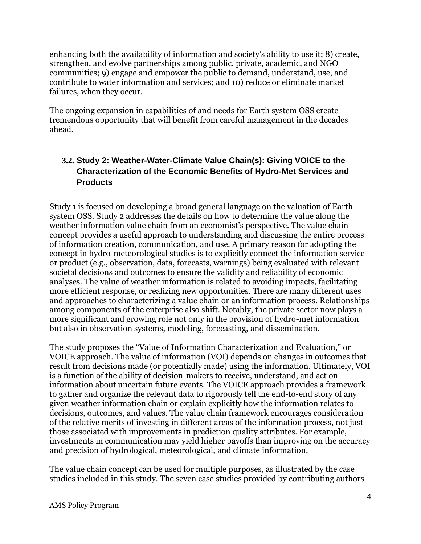enhancing both the availability of information and society's ability to use it; 8) create, strengthen, and evolve partnerships among public, private, academic, and NGO communities; 9) engage and empower the public to demand, understand, use, and contribute to water information and services; and 10) reduce or eliminate market failures, when they occur.

The ongoing expansion in capabilities of and needs for Earth system OSS create tremendous opportunity that will benefit from careful management in the decades ahead.

### <span id="page-10-0"></span>**3.2. Study 2: Weather-Water-Climate Value Chain(s): Giving VOICE to the Characterization of the Economic Benefits of Hydro-Met Services and Products**

Study 1 is focused on developing a broad general language on the valuation of Earth system OSS. Study 2 addresses the details on how to determine the value along the weather information value chain from an economist's perspective. The value chain concept provides a useful approach to understanding and discussing the entire process of information creation, communication, and use. A primary reason for adopting the concept in hydro-meteorological studies is to explicitly connect the information service or product (e.g., observation, data, forecasts, warnings) being evaluated with relevant societal decisions and outcomes to ensure the validity and reliability of economic analyses. The value of weather information is related to avoiding impacts, facilitating more efficient response, or realizing new opportunities. There are many different uses and approaches to characterizing a value chain or an information process. Relationships among components of the enterprise also shift. Notably, the private sector now plays a more significant and growing role not only in the provision of hydro-met information but also in observation systems, modeling, forecasting, and dissemination.

The study proposes the "Value of Information Characterization and Evaluation," or VOICE approach. The value of information (VOI) depends on changes in outcomes that result from decisions made (or potentially made) using the information. Ultimately, VOI is a function of the ability of decision-makers to receive, understand, and act on information about uncertain future events. The VOICE approach provides a framework to gather and organize the relevant data to rigorously tell the end-to-end story of any given weather information chain or explain explicitly how the information relates to decisions, outcomes, and values. The value chain framework encourages consideration of the relative merits of investing in different areas of the information process, not just those associated with improvements in prediction quality attributes. For example, investments in communication may yield higher payoffs than improving on the accuracy and precision of hydrological, meteorological, and climate information.

The value chain concept can be used for multiple purposes, as illustrated by the case studies included in this study. The seven case studies provided by contributing authors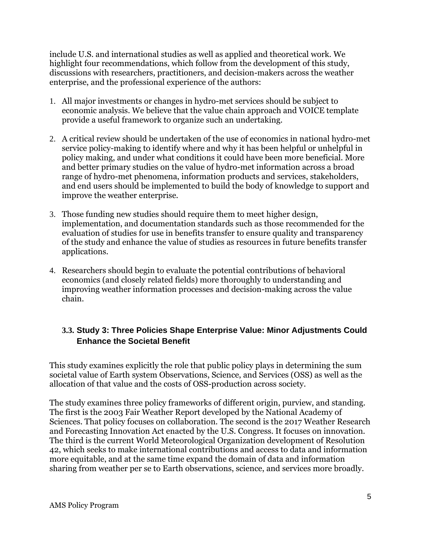include U.S. and international studies as well as applied and theoretical work. We highlight four recommendations, which follow from the development of this study, discussions with researchers, practitioners, and decision-makers across the weather enterprise, and the professional experience of the authors:

- 1. All major investments or changes in hydro-met services should be subject to economic analysis. We believe that the value chain approach and VOICE template provide a useful framework to organize such an undertaking.
- 2. A critical review should be undertaken of the use of economics in national hydro-met service policy-making to identify where and why it has been helpful or unhelpful in policy making, and under what conditions it could have been more beneficial. More and better primary studies on the value of hydro-met information across a broad range of hydro-met phenomena, information products and services, stakeholders, and end users should be implemented to build the body of knowledge to support and improve the weather enterprise.
- 3. Those funding new studies should require them to meet higher design, implementation, and documentation standards such as those recommended for the evaluation of studies for use in benefits transfer to ensure quality and transparency of the study and enhance the value of studies as resources in future benefits transfer applications.
- 4. Researchers should begin to evaluate the potential contributions of behavioral economics (and closely related fields) more thoroughly to understanding and improving weather information processes and decision-making across the value chain.

#### <span id="page-11-0"></span>**3.3. Study 3: Three Policies Shape Enterprise Value: Minor Adjustments Could Enhance the Societal Benefit**

This study examines explicitly the role that public policy plays in determining the sum societal value of Earth system Observations, Science, and Services (OSS) as well as the allocation of that value and the costs of OSS-production across society.

The study examines three policy frameworks of different origin, purview, and standing. The first is the 2003 Fair Weather Report developed by the National Academy of Sciences. That policy focuses on collaboration. The second is the 2017 Weather Research and Forecasting Innovation Act enacted by the U.S. Congress. It focuses on innovation. The third is the current World Meteorological Organization development of Resolution 42, which seeks to make international contributions and access to data and information more equitable, and at the same time expand the domain of data and information sharing from weather per se to Earth observations, science, and services more broadly.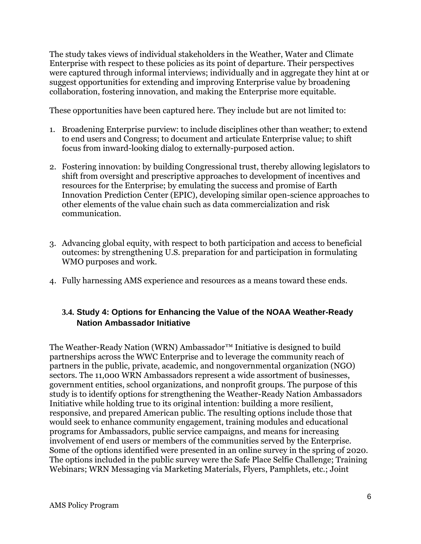The study takes views of individual stakeholders in the Weather, Water and Climate Enterprise with respect to these policies as its point of departure. Their perspectives were captured through informal interviews; individually and in aggregate they hint at or suggest opportunities for extending and improving Enterprise value by broadening collaboration, fostering innovation, and making the Enterprise more equitable.

These opportunities have been captured here. They include but are not limited to:

- 1. Broadening Enterprise purview: to include disciplines other than weather; to extend to end users and Congress; to document and articulate Enterprise value; to shift focus from inward-looking dialog to externally-purposed action.
- 2. Fostering innovation: by building Congressional trust, thereby allowing legislators to shift from oversight and prescriptive approaches to development of incentives and resources for the Enterprise; by emulating the success and promise of Earth Innovation Prediction Center (EPIC), developing similar open-science approaches to other elements of the value chain such as data commercialization and risk communication.
- 3. Advancing global equity, with respect to both participation and access to beneficial outcomes: by strengthening U.S. preparation for and participation in formulating WMO purposes and work.
- 4. Fully harnessing AMS experience and resources as a means toward these ends.

#### <span id="page-12-0"></span>**3.4. Study 4: Options for Enhancing the Value of the NOAA Weather-Ready Nation Ambassador Initiative**

The Weather-Ready Nation (WRN) Ambassador<sup>™</sup> Initiative is designed to build partnerships across the WWC Enterprise and to leverage the community reach of partners in the public, private, academic, and nongovernmental organization (NGO) sectors. The 11,000 WRN Ambassadors represent a wide assortment of businesses, government entities, school organizations, and nonprofit groups. The purpose of this study is to identify options for strengthening the Weather-Ready Nation Ambassadors Initiative while holding true to its original intention: building a more resilient, responsive, and prepared American public. The resulting options include those that would seek to enhance community engagement, training modules and educational programs for Ambassadors, public service campaigns, and means for increasing involvement of end users or members of the communities served by the Enterprise. Some of the options identified were presented in an online survey in the spring of 2020. The options included in the public survey were the Safe Place Selfie Challenge; Training Webinars; WRN Messaging via Marketing Materials, Flyers, Pamphlets, etc.; Joint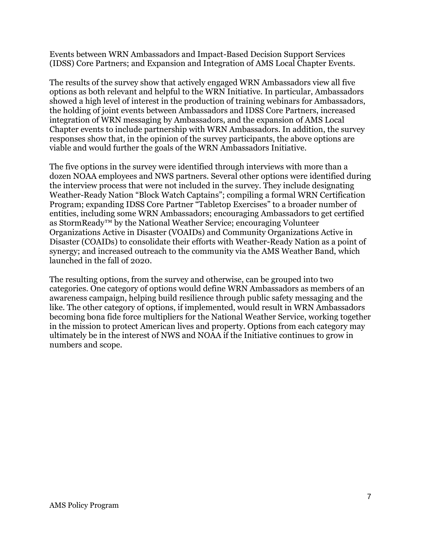Events between WRN Ambassadors and Impact-Based Decision Support Services (IDSS) Core Partners; and Expansion and Integration of AMS Local Chapter Events.

The results of the survey show that actively engaged WRN Ambassadors view all five options as both relevant and helpful to the WRN Initiative. In particular, Ambassadors showed a high level of interest in the production of training webinars for Ambassadors, the holding of joint events between Ambassadors and IDSS Core Partners, increased integration of WRN messaging by Ambassadors, and the expansion of AMS Local Chapter events to include partnership with WRN Ambassadors. In addition, the survey responses show that, in the opinion of the survey participants, the above options are viable and would further the goals of the WRN Ambassadors Initiative.

The five options in the survey were identified through interviews with more than a dozen NOAA employees and NWS partners. Several other options were identified during the interview process that were not included in the survey. They include designating Weather-Ready Nation "Block Watch Captains"; compiling a formal WRN Certification Program; expanding IDSS Core Partner "Tabletop Exercises" to a broader number of entities, including some WRN Ambassadors; encouraging Ambassadors to get certified as StormReady™ by the National Weather Service; encouraging Volunteer Organizations Active in Disaster (VOAIDs) and Community Organizations Active in Disaster (COAIDs) to consolidate their efforts with Weather-Ready Nation as a point of synergy; and increased outreach to the community via the AMS Weather Band, which launched in the fall of 2020.

The resulting options, from the survey and otherwise, can be grouped into two categories. One category of options would define WRN Ambassadors as members of an awareness campaign, helping build resilience through public safety messaging and the like. The other category of options, if implemented, would result in WRN Ambassadors becoming bona fide force multipliers for the National Weather Service, working together in the mission to protect American lives and property. Options from each category may ultimately be in the interest of NWS and NOAA if the Initiative continues to grow in numbers and scope.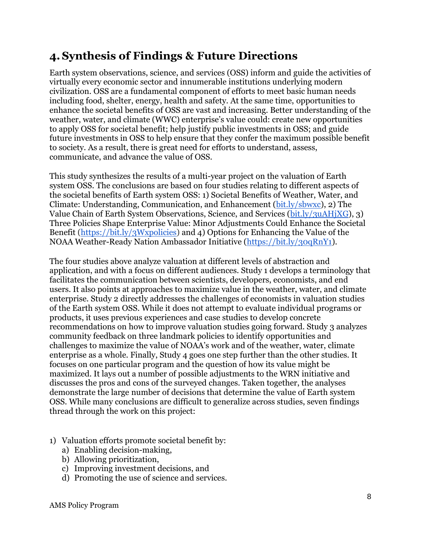## <span id="page-14-0"></span>**4.Synthesis of Findings & Future Directions**

Earth system observations, science, and services (OSS) inform and guide the activities of virtually every economic sector and innumerable institutions underlying modern civilization. OSS are a fundamental component of efforts to meet basic human needs including food, shelter, energy, health and safety. At the same time, opportunities to enhance the societal benefits of OSS are vast and increasing. Better understanding of the weather, water, and climate (WWC) enterprise's value could: create new opportunities to apply OSS for societal benefit; help justify public investments in OSS; and guide future investments in OSS to help ensure that they confer the maximum possible benefit to society. As a result, there is great need for efforts to understand, assess, communicate, and advance the value of OSS.

This study synthesizes the results of a multi-year project on the valuation of Earth system OSS. The conclusions are based on four studies relating to different aspects of the societal benefits of Earth system OSS: 1) Societal Benefits of Weather, Water, and Climate: Understanding, Communication, and Enhancement [\(bit.ly/sbwxc\)](https://bit.ly/sbwxc), 2) The Value Chain of Earth System Observations, Science, and Services [\(bit.ly/3uAHjXG\)](http://bit.ly/3uAHjXG), 3) Three Policies Shape Enterprise Value: Minor Adjustments Could Enhance the Societal Benefit [\(https://bit.ly/3Wxpolicies\)](https://bit.ly/3Wxpolicies) and 4) Options for Enhancing the Value of the NOAA Weather-Ready Nation Ambassador Initiative [\(https://bit.ly/30qRnY1\)](https://bit.ly/30qRnY1).

The four studies above analyze valuation at different levels of abstraction and application, and with a focus on different audiences. Study 1 develops a terminology that facilitates the communication between scientists, developers, economists, and end users. It also points at approaches to maximize value in the weather, water, and climate enterprise. Study 2 directly addresses the challenges of economists in valuation studies of the Earth system OSS. While it does not attempt to evaluate individual programs or products, it uses previous experiences and case studies to develop concrete recommendations on how to improve valuation studies going forward. Study 3 analyzes community feedback on three landmark policies to identify opportunities and challenges to maximize the value of NOAA's work and of the weather, water, climate enterprise as a whole. Finally, Study 4 goes one step further than the other studies. It focuses on one particular program and the question of how its value might be maximized. It lays out a number of possible adjustments to the WRN initiative and discusses the pros and cons of the surveyed changes. Taken together, the analyses demonstrate the large number of decisions that determine the value of Earth system OSS. While many conclusions are difficult to generalize across studies, seven findings thread through the work on this project:

- 1) Valuation efforts promote societal benefit by:
	- a) Enabling decision-making,
	- b) Allowing prioritization,
	- c) Improving investment decisions, and
	- d) Promoting the use of science and services.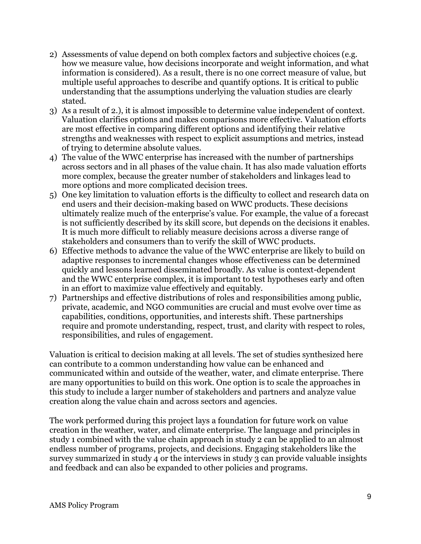- 2) Assessments of value depend on both complex factors and subjective choices (e.g. how we measure value, how decisions incorporate and weight information, and what information is considered). As a result, there is no one correct measure of value, but multiple useful approaches to describe and quantify options. It is critical to public understanding that the assumptions underlying the valuation studies are clearly stated.
- 3) As a result of 2.), it is almost impossible to determine value independent of context. Valuation clarifies options and makes comparisons more effective. Valuation efforts are most effective in comparing different options and identifying their relative strengths and weaknesses with respect to explicit assumptions and metrics, instead of trying to determine absolute values.
- 4) The value of the WWC enterprise has increased with the number of partnerships across sectors and in all phases of the value chain. It has also made valuation efforts more complex, because the greater number of stakeholders and linkages lead to more options and more complicated decision trees.
- 5) One key limitation to valuation efforts is the difficulty to collect and research data on end users and their decision-making based on WWC products. These decisions ultimately realize much of the enterprise's value. For example, the value of a forecast is not sufficiently described by its skill score, but depends on the decisions it enables. It is much more difficult to reliably measure decisions across a diverse range of stakeholders and consumers than to verify the skill of WWC products.
- 6) Effective methods to advance the value of the WWC enterprise are likely to build on adaptive responses to incremental changes whose effectiveness can be determined quickly and lessons learned disseminated broadly. As value is context-dependent and the WWC enterprise complex, it is important to test hypotheses early and often in an effort to maximize value effectively and equitably.
- 7) Partnerships and effective distributions of roles and responsibilities among public, private, academic, and NGO communities are crucial and must evolve over time as capabilities, conditions, opportunities, and interests shift. These partnerships require and promote understanding, respect, trust, and clarity with respect to roles, responsibilities, and rules of engagement.

Valuation is critical to decision making at all levels. The set of studies synthesized here can contribute to a common understanding how value can be enhanced and communicated within and outside of the weather, water, and climate enterprise. There are many opportunities to build on this work. One option is to scale the approaches in this study to include a larger number of stakeholders and partners and analyze value creation along the value chain and across sectors and agencies.

The work performed during this project lays a foundation for future work on value creation in the weather, water, and climate enterprise. The language and principles in study 1 combined with the value chain approach in study 2 can be applied to an almost endless number of programs, projects, and decisions. Engaging stakeholders like the survey summarized in study 4 or the interviews in study 3 can provide valuable insights and feedback and can also be expanded to other policies and programs.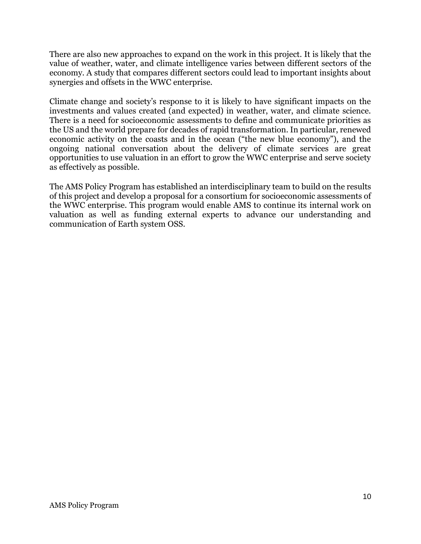There are also new approaches to expand on the work in this project. It is likely that the value of weather, water, and climate intelligence varies between different sectors of the economy. A study that compares different sectors could lead to important insights about synergies and offsets in the WWC enterprise.

Climate change and society's response to it is likely to have significant impacts on the investments and values created (and expected) in weather, water, and climate science. There is a need for socioeconomic assessments to define and communicate priorities as the US and the world prepare for decades of rapid transformation. In particular, renewed economic activity on the coasts and in the ocean ("the new blue economy"), and the ongoing national conversation about the delivery of climate services are great opportunities to use valuation in an effort to grow the WWC enterprise and serve society as effectively as possible.

The AMS Policy Program has established an interdisciplinary team to build on the results of this project and develop a proposal for a consortium for socioeconomic assessments of the WWC enterprise. This program would enable AMS to continue its internal work on valuation as well as funding external experts to advance our understanding and communication of Earth system OSS.